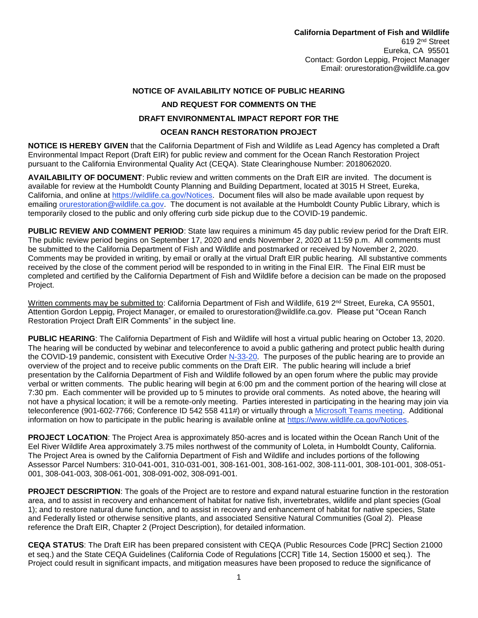## **NOTICE OF AVAILABILITY NOTICE OF PUBLIC HEARING AND REQUEST FOR COMMENTS ON THE DRAFT ENVIRONMENTAL IMPACT REPORT FOR THE**

## **OCEAN RANCH RESTORATION PROJECT**

**NOTICE IS HEREBY GIVEN** that the California Department of Fish and Wildlife as Lead Agency has completed a Draft Environmental Impact Report (Draft EIR) for public review and comment for the Ocean Ranch Restoration Project pursuant to the California Environmental Quality Act (CEQA). State Clearinghouse Number: 2018062020.

**AVAILABILITY OF DOCUMENT**: Public review and written comments on the Draft EIR are invited. The document is available for review at the Humboldt County Planning and Building Department, located at 3015 H Street, Eureka, California, and online at [https://wildlife.ca.gov/Notices.](https://wildlife.ca.gov/Notices) Document files will also be made available upon request by emailing [orurestoration@wildlife.ca.gov.](mailto:orurestoration@wildlife.ca.gov) The document is not available at the Humboldt County Public Library, which is temporarily closed to the public and only offering curb side pickup due to the COVID-19 pandemic.

**PUBLIC REVIEW AND COMMENT PERIOD**: State law requires a minimum 45 day public review period for the Draft EIR. The public review period begins on September 17, 2020 and ends November 2, 2020 at 11:59 p.m. All comments must be submitted to the California Department of Fish and Wildlife and postmarked or received by November 2, 2020. Comments may be provided in writing, by email or orally at the virtual Draft EIR public hearing. All substantive comments received by the close of the comment period will be responded to in writing in the Final EIR. The Final EIR must be completed and certified by the California Department of Fish and Wildlife before a decision can be made on the proposed Project.

Written comments may be submitted to: California Department of Fish and Wildlife, 619 2<sup>nd</sup> Street, Eureka, CA 95501. Attention Gordon Leppig, Project Manager, or emailed to orurestoration@wildlife.ca.gov. Please put "Ocean Ranch Restoration Project Draft EIR Comments" in the subject line.

**PUBLIC HEARING**: The California Department of Fish and Wildlife will host a virtual public hearing on October 13, 2020. The hearing will be conducted by webinar and teleconference to avoid a public gathering and protect public health during the COVID-19 pandemic, consistent with Executive Order [N-33-20.](https://www.gov.ca.gov/wp-content/uploads/2020/03/3.19.20-attested-EO-N-33-20-COVID-19-HEALTH-ORDER.pdf) The purposes of the public hearing are to provide an overview of the project and to receive public comments on the Draft EIR. The public hearing will include a brief presentation by the California Department of Fish and Wildlife followed by an open forum where the public may provide verbal or written comments. The public hearing will begin at 6:00 pm and the comment portion of the hearing will close at 7:30 pm. Each commenter will be provided up to 5 minutes to provide oral comments. As noted above, the hearing will not have a physical location; it will be a remote-only meeting. Parties interested in participating in the hearing may join via teleconference (901-602-7766; Conference ID 542 558 411#) or virtually through a [Microsoft Teams meeting.](https://teams.microsoft.com/l/meetup-join/19%3ameeting_NWEyYjAxZjItZjdhOC00YWE1LTg2M2YtMzU1YTc1ODViZGY5%40thread.v2/0?context=%7b%22Tid%22%3a%222430c44f-9492-4e6f-a57d-32257ab4c515%22%2c%22Oid%22%3a%22cf6fe551-dcd8-4ce2-a811-5062d809d886%22%7d) Additional information on how to participate in the public hearing is available online at [https://www.wildlife.ca.gov/Notices.](https://www.wildlife.ca.gov/Notices)

**PROJECT LOCATION**: The Project Area is approximately 850-acres and is located within the Ocean Ranch Unit of the Eel River Wildlife Area approximately 3.75 miles northwest of the community of Loleta, in Humboldt County, California. The Project Area is owned by the California Department of Fish and Wildlife and includes portions of the following Assessor Parcel Numbers: 310-041-001, 310-031-001, 308-161-001, 308-161-002, 308-111-001, 308-101-001, 308-051- 001, 308-041-003, 308-061-001, 308-091-002, 308-091-001.

**PROJECT DESCRIPTION**: The goals of the Project are to restore and expand natural estuarine function in the restoration area, and to assist in recovery and enhancement of habitat for native fish, invertebrates, wildlife and plant species (Goal 1); and to restore natural dune function, and to assist in recovery and enhancement of habitat for native species, State and Federally listed or otherwise sensitive plants, and associated Sensitive Natural Communities (Goal 2). Please reference the Draft EIR, Chapter 2 (Project Description), for detailed information.

**CEQA STATUS**: The Draft EIR has been prepared consistent with CEQA (Public Resources Code [PRC] Section 21000 et seq.) and the State CEQA Guidelines (California Code of Regulations [CCR] Title 14, Section 15000 et seq.). The Project could result in significant impacts, and mitigation measures have been proposed to reduce the significance of